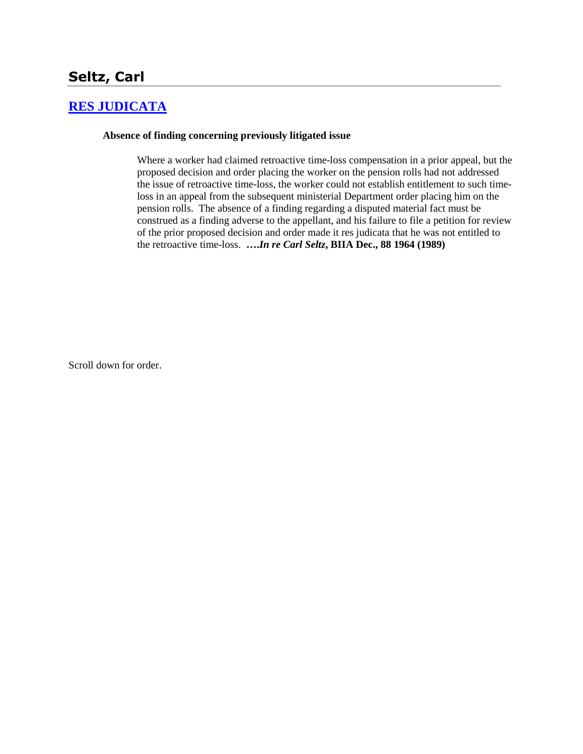# **Seltz, Carl**

### **[RES JUDICATA](http://www.biia.wa.gov/SDSubjectIndex.html#RES_JUDICATA)**

#### **Absence of finding concerning previously litigated issue**

Where a worker had claimed retroactive time-loss compensation in a prior appeal, but the proposed decision and order placing the worker on the pension rolls had not addressed the issue of retroactive time-loss, the worker could not establish entitlement to such timeloss in an appeal from the subsequent ministerial Department order placing him on the pension rolls. The absence of a finding regarding a disputed material fact must be construed as a finding adverse to the appellant, and his failure to file a petition for review of the prior proposed decision and order made it res judicata that he was not entitled to the retroactive time-loss. **….***In re Carl Seltz***, BIIA Dec., 88 1964 (1989)**

Scroll down for order.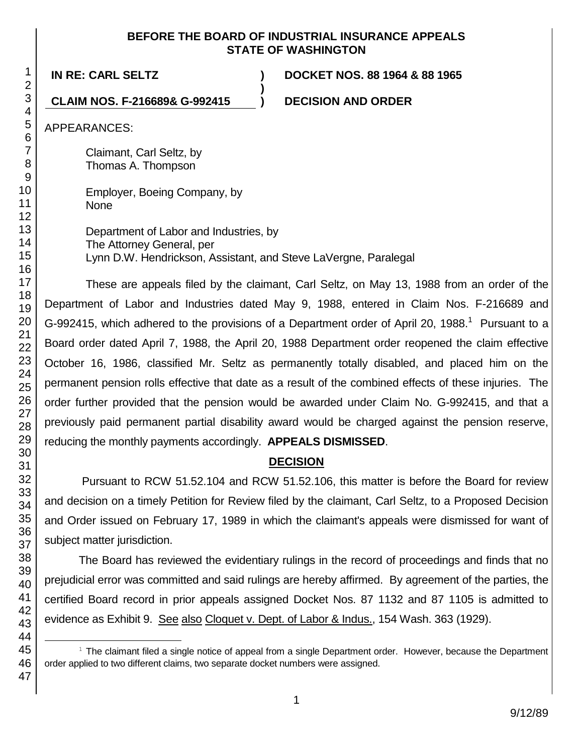### **BEFORE THE BOARD OF INDUSTRIAL INSURANCE APPEALS STATE OF WASHINGTON**

**IN RE: CARL SELTZ ) DOCKET NOS. 88 1964 & 88 1965**

**CLAIM NOS. F-216689& G-992415 ) DECISION AND ORDER**

APPEARANCES:

Claimant, Carl Seltz, by Thomas A. Thompson

Employer, Boeing Company, by None

Department of Labor and Industries, by The Attorney General, per Lynn D.W. Hendrickson, Assistant, and Steve LaVergne, Paralegal

**)**

These are appeals filed by the claimant, Carl Seltz, on May 13, 1988 from an order of the Department of Labor and Industries dated May 9, 1988, entered in Claim Nos. F-216689 and G-992415, which adhered to the provisions of a Department order of April 20, 1988.<sup>1</sup> Pursuant to a Board order dated April 7, 1988, the April 20, 1988 Department order reopened the claim effective October 16, 1986, classified Mr. Seltz as permanently totally disabled, and placed him on the permanent pension rolls effective that date as a result of the combined effects of these injuries. The order further provided that the pension would be awarded under Claim No. G-992415, and that a previously paid permanent partial disability award would be charged against the pension reserve, reducing the monthly payments accordingly. **APPEALS DISMISSED**.

# **DECISION**

Pursuant to RCW 51.52.104 and RCW 51.52.106, this matter is before the Board for review and decision on a timely Petition for Review filed by the claimant, Carl Seltz, to a Proposed Decision and Order issued on February 17, 1989 in which the claimant's appeals were dismissed for want of subject matter jurisdiction.

The Board has reviewed the evidentiary rulings in the record of proceedings and finds that no prejudicial error was committed and said rulings are hereby affirmed. By agreement of the parties, the certified Board record in prior appeals assigned Docket Nos. 87 1132 and 87 1105 is admitted to evidence as Exhibit 9. See also Cloquet v. Dept. of Labor & Indus., 154 Wash. 363 (1929).

l  $1$  The claimant filed a single notice of appeal from a single Department order. However, because the Department order applied to two different claims, two separate docket numbers were assigned.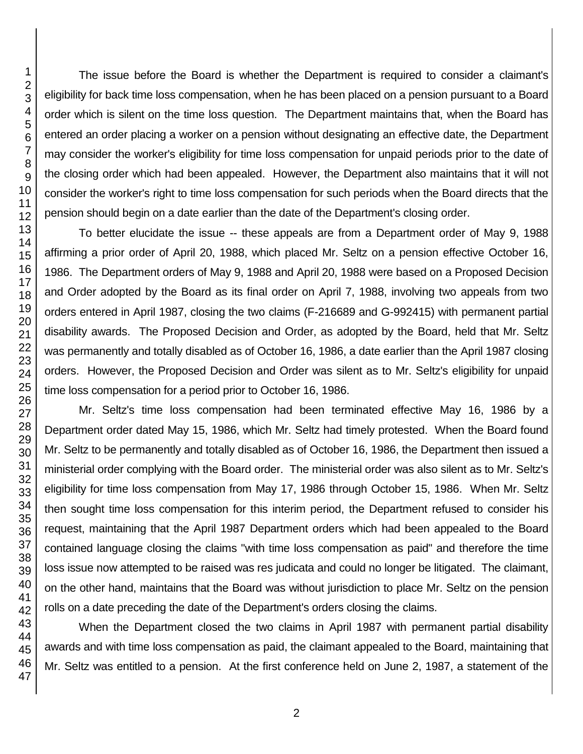The issue before the Board is whether the Department is required to consider a claimant's eligibility for back time loss compensation, when he has been placed on a pension pursuant to a Board order which is silent on the time loss question. The Department maintains that, when the Board has entered an order placing a worker on a pension without designating an effective date, the Department may consider the worker's eligibility for time loss compensation for unpaid periods prior to the date of the closing order which had been appealed. However, the Department also maintains that it will not consider the worker's right to time loss compensation for such periods when the Board directs that the pension should begin on a date earlier than the date of the Department's closing order.

To better elucidate the issue -- these appeals are from a Department order of May 9, 1988 affirming a prior order of April 20, 1988, which placed Mr. Seltz on a pension effective October 16, 1986. The Department orders of May 9, 1988 and April 20, 1988 were based on a Proposed Decision and Order adopted by the Board as its final order on April 7, 1988, involving two appeals from two orders entered in April 1987, closing the two claims (F-216689 and G-992415) with permanent partial disability awards. The Proposed Decision and Order, as adopted by the Board, held that Mr. Seltz was permanently and totally disabled as of October 16, 1986, a date earlier than the April 1987 closing orders. However, the Proposed Decision and Order was silent as to Mr. Seltz's eligibility for unpaid time loss compensation for a period prior to October 16, 1986.

Mr. Seltz's time loss compensation had been terminated effective May 16, 1986 by a Department order dated May 15, 1986, which Mr. Seltz had timely protested. When the Board found Mr. Seltz to be permanently and totally disabled as of October 16, 1986, the Department then issued a ministerial order complying with the Board order. The ministerial order was also silent as to Mr. Seltz's eligibility for time loss compensation from May 17, 1986 through October 15, 1986. When Mr. Seltz then sought time loss compensation for this interim period, the Department refused to consider his request, maintaining that the April 1987 Department orders which had been appealed to the Board contained language closing the claims "with time loss compensation as paid" and therefore the time loss issue now attempted to be raised was res judicata and could no longer be litigated. The claimant, on the other hand, maintains that the Board was without jurisdiction to place Mr. Seltz on the pension rolls on a date preceding the date of the Department's orders closing the claims.

When the Department closed the two claims in April 1987 with permanent partial disability awards and with time loss compensation as paid, the claimant appealed to the Board, maintaining that Mr. Seltz was entitled to a pension. At the first conference held on June 2, 1987, a statement of the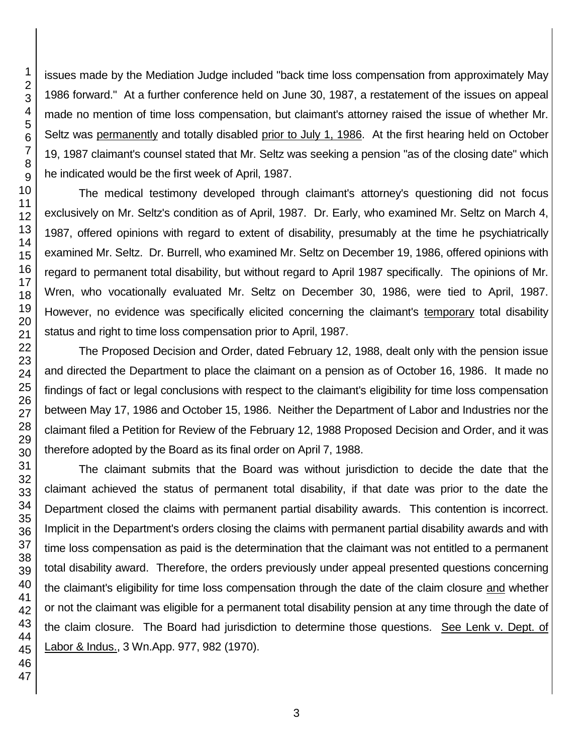issues made by the Mediation Judge included "back time loss compensation from approximately May 1986 forward." At a further conference held on June 30, 1987, a restatement of the issues on appeal made no mention of time loss compensation, but claimant's attorney raised the issue of whether Mr. Seltz was permanently and totally disabled prior to July 1, 1986. At the first hearing held on October 19, 1987 claimant's counsel stated that Mr. Seltz was seeking a pension "as of the closing date" which he indicated would be the first week of April, 1987.

The medical testimony developed through claimant's attorney's questioning did not focus exclusively on Mr. Seltz's condition as of April, 1987. Dr. Early, who examined Mr. Seltz on March 4, 1987, offered opinions with regard to extent of disability, presumably at the time he psychiatrically examined Mr. Seltz. Dr. Burrell, who examined Mr. Seltz on December 19, 1986, offered opinions with regard to permanent total disability, but without regard to April 1987 specifically. The opinions of Mr. Wren, who vocationally evaluated Mr. Seltz on December 30, 1986, were tied to April, 1987. However, no evidence was specifically elicited concerning the claimant's temporary total disability status and right to time loss compensation prior to April, 1987.

The Proposed Decision and Order, dated February 12, 1988, dealt only with the pension issue and directed the Department to place the claimant on a pension as of October 16, 1986. It made no findings of fact or legal conclusions with respect to the claimant's eligibility for time loss compensation between May 17, 1986 and October 15, 1986. Neither the Department of Labor and Industries nor the claimant filed a Petition for Review of the February 12, 1988 Proposed Decision and Order, and it was therefore adopted by the Board as its final order on April 7, 1988.

The claimant submits that the Board was without jurisdiction to decide the date that the claimant achieved the status of permanent total disability, if that date was prior to the date the Department closed the claims with permanent partial disability awards. This contention is incorrect. Implicit in the Department's orders closing the claims with permanent partial disability awards and with time loss compensation as paid is the determination that the claimant was not entitled to a permanent total disability award. Therefore, the orders previously under appeal presented questions concerning the claimant's eligibility for time loss compensation through the date of the claim closure and whether or not the claimant was eligible for a permanent total disability pension at any time through the date of the claim closure. The Board had jurisdiction to determine those questions. See Lenk v. Dept. of Labor & Indus., 3 Wn.App. 977, 982 (1970).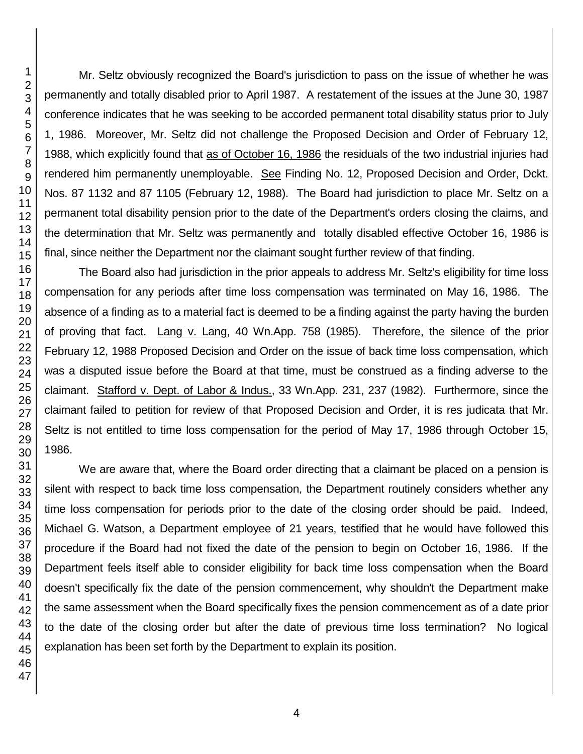Mr. Seltz obviously recognized the Board's jurisdiction to pass on the issue of whether he was permanently and totally disabled prior to April 1987. A restatement of the issues at the June 30, 1987 conference indicates that he was seeking to be accorded permanent total disability status prior to July 1, 1986. Moreover, Mr. Seltz did not challenge the Proposed Decision and Order of February 12, 1988, which explicitly found that as of October 16, 1986 the residuals of the two industrial injuries had rendered him permanently unemployable. See Finding No. 12, Proposed Decision and Order, Dckt. Nos. 87 1132 and 87 1105 (February 12, 1988). The Board had jurisdiction to place Mr. Seltz on a permanent total disability pension prior to the date of the Department's orders closing the claims, and the determination that Mr. Seltz was permanently and totally disabled effective October 16, 1986 is final, since neither the Department nor the claimant sought further review of that finding.

The Board also had jurisdiction in the prior appeals to address Mr. Seltz's eligibility for time loss compensation for any periods after time loss compensation was terminated on May 16, 1986. The absence of a finding as to a material fact is deemed to be a finding against the party having the burden of proving that fact. Lang v. Lang, 40 Wn.App. 758 (1985). Therefore, the silence of the prior February 12, 1988 Proposed Decision and Order on the issue of back time loss compensation, which was a disputed issue before the Board at that time, must be construed as a finding adverse to the claimant. Stafford v. Dept. of Labor & Indus., 33 Wn.App. 231, 237 (1982). Furthermore, since the claimant failed to petition for review of that Proposed Decision and Order, it is res judicata that Mr. Seltz is not entitled to time loss compensation for the period of May 17, 1986 through October 15, 1986.

We are aware that, where the Board order directing that a claimant be placed on a pension is silent with respect to back time loss compensation, the Department routinely considers whether any time loss compensation for periods prior to the date of the closing order should be paid. Indeed, Michael G. Watson, a Department employee of 21 years, testified that he would have followed this procedure if the Board had not fixed the date of the pension to begin on October 16, 1986. If the Department feels itself able to consider eligibility for back time loss compensation when the Board doesn't specifically fix the date of the pension commencement, why shouldn't the Department make the same assessment when the Board specifically fixes the pension commencement as of a date prior to the date of the closing order but after the date of previous time loss termination? No logical explanation has been set forth by the Department to explain its position.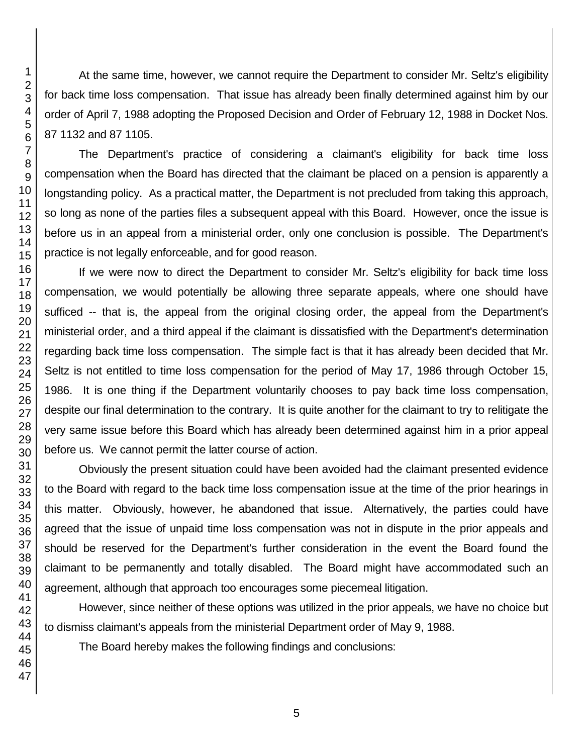At the same time, however, we cannot require the Department to consider Mr. Seltz's eligibility for back time loss compensation. That issue has already been finally determined against him by our order of April 7, 1988 adopting the Proposed Decision and Order of February 12, 1988 in Docket Nos. 87 1132 and 87 1105.

The Department's practice of considering a claimant's eligibility for back time loss compensation when the Board has directed that the claimant be placed on a pension is apparently a longstanding policy. As a practical matter, the Department is not precluded from taking this approach, so long as none of the parties files a subsequent appeal with this Board. However, once the issue is before us in an appeal from a ministerial order, only one conclusion is possible. The Department's practice is not legally enforceable, and for good reason.

If we were now to direct the Department to consider Mr. Seltz's eligibility for back time loss compensation, we would potentially be allowing three separate appeals, where one should have sufficed -- that is, the appeal from the original closing order, the appeal from the Department's ministerial order, and a third appeal if the claimant is dissatisfied with the Department's determination regarding back time loss compensation. The simple fact is that it has already been decided that Mr. Seltz is not entitled to time loss compensation for the period of May 17, 1986 through October 15, 1986. It is one thing if the Department voluntarily chooses to pay back time loss compensation, despite our final determination to the contrary. It is quite another for the claimant to try to relitigate the very same issue before this Board which has already been determined against him in a prior appeal before us. We cannot permit the latter course of action.

Obviously the present situation could have been avoided had the claimant presented evidence to the Board with regard to the back time loss compensation issue at the time of the prior hearings in this matter. Obviously, however, he abandoned that issue. Alternatively, the parties could have agreed that the issue of unpaid time loss compensation was not in dispute in the prior appeals and should be reserved for the Department's further consideration in the event the Board found the claimant to be permanently and totally disabled. The Board might have accommodated such an agreement, although that approach too encourages some piecemeal litigation.

However, since neither of these options was utilized in the prior appeals, we have no choice but to dismiss claimant's appeals from the ministerial Department order of May 9, 1988.

The Board hereby makes the following findings and conclusions: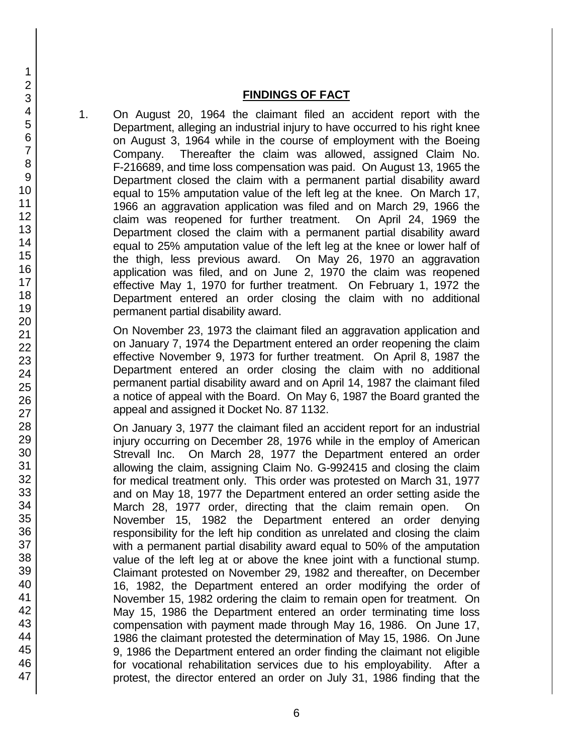#### **FINDINGS OF FACT**

1. On August 20, 1964 the claimant filed an accident report with the Department, alleging an industrial injury to have occurred to his right knee on August 3, 1964 while in the course of employment with the Boeing Company. Thereafter the claim was allowed, assigned Claim No. F-216689, and time loss compensation was paid. On August 13, 1965 the Department closed the claim with a permanent partial disability award equal to 15% amputation value of the left leg at the knee. On March 17, 1966 an aggravation application was filed and on March 29, 1966 the claim was reopened for further treatment. On April 24, 1969 the Department closed the claim with a permanent partial disability award equal to 25% amputation value of the left leg at the knee or lower half of the thigh, less previous award. On May 26, 1970 an aggravation application was filed, and on June 2, 1970 the claim was reopened effective May 1, 1970 for further treatment. On February 1, 1972 the Department entered an order closing the claim with no additional permanent partial disability award.

On November 23, 1973 the claimant filed an aggravation application and on January 7, 1974 the Department entered an order reopening the claim effective November 9, 1973 for further treatment. On April 8, 1987 the Department entered an order closing the claim with no additional permanent partial disability award and on April 14, 1987 the claimant filed a notice of appeal with the Board. On May 6, 1987 the Board granted the appeal and assigned it Docket No. 87 1132.

On January 3, 1977 the claimant filed an accident report for an industrial injury occurring on December 28, 1976 while in the employ of American Strevall Inc. On March 28, 1977 the Department entered an order allowing the claim, assigning Claim No. G-992415 and closing the claim for medical treatment only. This order was protested on March 31, 1977 and on May 18, 1977 the Department entered an order setting aside the March 28, 1977 order, directing that the claim remain open. On November 15, 1982 the Department entered an order denying responsibility for the left hip condition as unrelated and closing the claim with a permanent partial disability award equal to 50% of the amputation value of the left leg at or above the knee joint with a functional stump. Claimant protested on November 29, 1982 and thereafter, on December 16, 1982, the Department entered an order modifying the order of November 15, 1982 ordering the claim to remain open for treatment. On May 15, 1986 the Department entered an order terminating time loss compensation with payment made through May 16, 1986. On June 17, 1986 the claimant protested the determination of May 15, 1986. On June 9, 1986 the Department entered an order finding the claimant not eligible for vocational rehabilitation services due to his employability. After a protest, the director entered an order on July 31, 1986 finding that the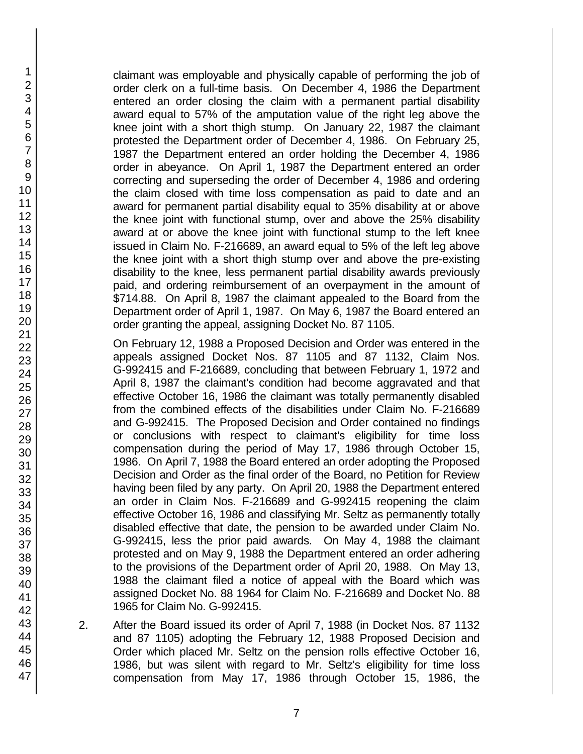claimant was employable and physically capable of performing the job of order clerk on a full-time basis. On December 4, 1986 the Department entered an order closing the claim with a permanent partial disability award equal to 57% of the amputation value of the right leg above the knee joint with a short thigh stump. On January 22, 1987 the claimant protested the Department order of December 4, 1986. On February 25, 1987 the Department entered an order holding the December 4, 1986 order in abeyance. On April 1, 1987 the Department entered an order correcting and superseding the order of December 4, 1986 and ordering the claim closed with time loss compensation as paid to date and an award for permanent partial disability equal to 35% disability at or above the knee joint with functional stump, over and above the 25% disability award at or above the knee joint with functional stump to the left knee issued in Claim No. F-216689, an award equal to 5% of the left leg above the knee joint with a short thigh stump over and above the pre-existing disability to the knee, less permanent partial disability awards previously paid, and ordering reimbursement of an overpayment in the amount of \$714.88. On April 8, 1987 the claimant appealed to the Board from the Department order of April 1, 1987. On May 6, 1987 the Board entered an order granting the appeal, assigning Docket No. 87 1105.

On February 12, 1988 a Proposed Decision and Order was entered in the appeals assigned Docket Nos. 87 1105 and 87 1132, Claim Nos. G-992415 and F-216689, concluding that between February 1, 1972 and April 8, 1987 the claimant's condition had become aggravated and that effective October 16, 1986 the claimant was totally permanently disabled from the combined effects of the disabilities under Claim No. F-216689 and G-992415. The Proposed Decision and Order contained no findings or conclusions with respect to claimant's eligibility for time loss compensation during the period of May 17, 1986 through October 15, 1986. On April 7, 1988 the Board entered an order adopting the Proposed Decision and Order as the final order of the Board, no Petition for Review having been filed by any party. On April 20, 1988 the Department entered an order in Claim Nos. F-216689 and G-992415 reopening the claim effective October 16, 1986 and classifying Mr. Seltz as permanently totally disabled effective that date, the pension to be awarded under Claim No. G-992415, less the prior paid awards. On May 4, 1988 the claimant protested and on May 9, 1988 the Department entered an order adhering to the provisions of the Department order of April 20, 1988. On May 13, 1988 the claimant filed a notice of appeal with the Board which was assigned Docket No. 88 1964 for Claim No. F-216689 and Docket No. 88 1965 for Claim No. G-992415.

2. After the Board issued its order of April 7, 1988 (in Docket Nos. 87 1132 and 87 1105) adopting the February 12, 1988 Proposed Decision and Order which placed Mr. Seltz on the pension rolls effective October 16, 1986, but was silent with regard to Mr. Seltz's eligibility for time loss compensation from May 17, 1986 through October 15, 1986, the

47